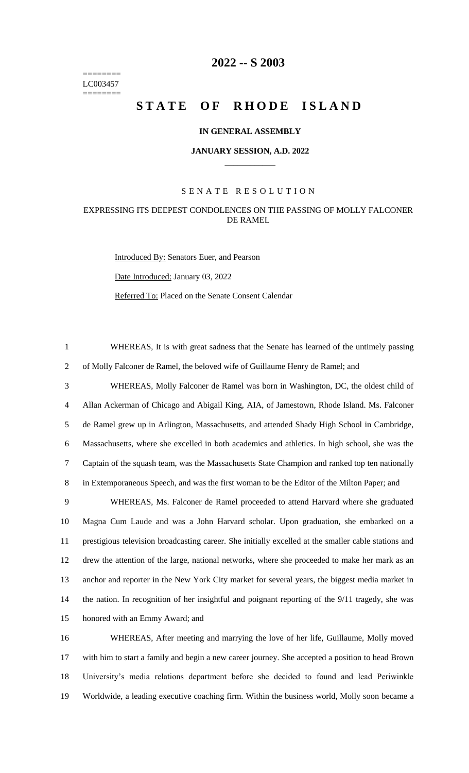======== LC003457 ========

# **-- S 2003**

# **STATE OF RHODE ISLAND**

## **IN GENERAL ASSEMBLY**

#### **JANUARY SESSION, A.D. 2022 \_\_\_\_\_\_\_\_\_\_\_\_**

## S E N A T E R E S O L U T I O N

# EXPRESSING ITS DEEPEST CONDOLENCES ON THE PASSING OF MOLLY FALCONER DE RAMEL

Introduced By: Senators Euer, and Pearson Date Introduced: January 03, 2022 Referred To: Placed on the Senate Consent Calendar

 WHEREAS, It is with great sadness that the Senate has learned of the untimely passing of Molly Falconer de Ramel, the beloved wife of Guillaume Henry de Ramel; and

 WHEREAS, Molly Falconer de Ramel was born in Washington, DC, the oldest child of Allan Ackerman of Chicago and Abigail King, AIA, of Jamestown, Rhode Island. Ms. Falconer de Ramel grew up in Arlington, Massachusetts, and attended Shady High School in Cambridge, Massachusetts, where she excelled in both academics and athletics. In high school, she was the Captain of the squash team, was the Massachusetts State Champion and ranked top ten nationally in Extemporaneous Speech, and was the first woman to be the Editor of the Milton Paper; and

 WHEREAS, Ms. Falconer de Ramel proceeded to attend Harvard where she graduated Magna Cum Laude and was a John Harvard scholar. Upon graduation, she embarked on a prestigious television broadcasting career. She initially excelled at the smaller cable stations and drew the attention of the large, national networks, where she proceeded to make her mark as an anchor and reporter in the New York City market for several years, the biggest media market in the nation. In recognition of her insightful and poignant reporting of the 9/11 tragedy, she was honored with an Emmy Award; and

 WHEREAS, After meeting and marrying the love of her life, Guillaume, Molly moved with him to start a family and begin a new career journey. She accepted a position to head Brown University's media relations department before she decided to found and lead Periwinkle Worldwide, a leading executive coaching firm. Within the business world, Molly soon became a